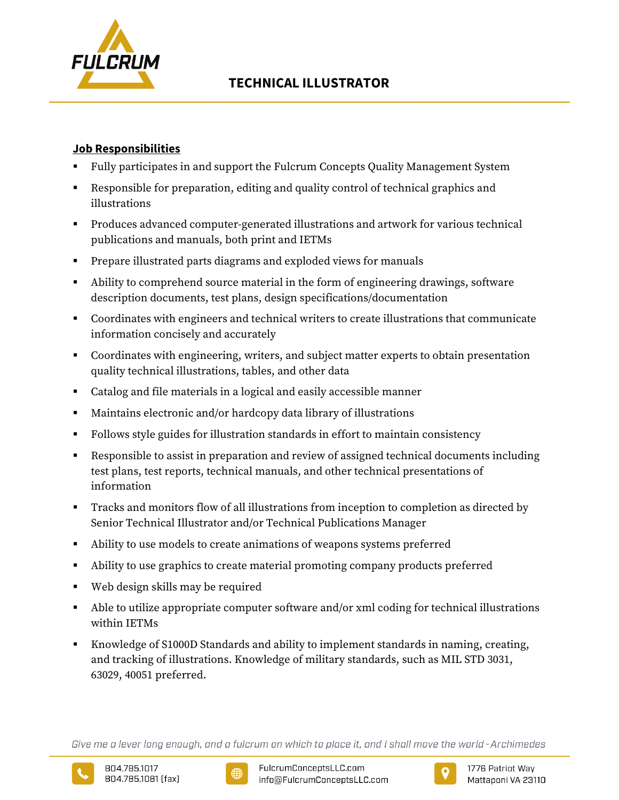

# **Job Responsibilities**

- Fully participates in and support the Fulcrum Concepts Quality Management System
- Responsible for preparation, editing and quality control of technical graphics and illustrations
- Produces advanced computer-generated illustrations and artwork for various technical publications and manuals, both print and IETMs
- **Prepare illustrated parts diagrams and exploded views for manuals**
- Ability to comprehend source material in the form of engineering drawings, software description documents, test plans, design specifications/documentation
- Coordinates with engineers and technical writers to create illustrations that communicate information concisely and accurately
- Coordinates with engineering, writers, and subject matter experts to obtain presentation quality technical illustrations, tables, and other data
- Catalog and file materials in a logical and easily accessible manner
- Maintains electronic and/or hardcopy data library of illustrations
- Follows style guides for illustration standards in effort to maintain consistency
- Responsible to assist in preparation and review of assigned technical documents including test plans, test reports, technical manuals, and other technical presentations of information
- Tracks and monitors flow of all illustrations from inception to completion as directed by Senior Technical Illustrator and/or Technical Publications Manager
- Ability to use models to create animations of weapons systems preferred
- Ability to use graphics to create material promoting company products preferred
- Web design skills may be required
- Able to utilize appropriate computer software and/or xml coding for technical illustrations within IETMs
- Knowledge of S1000D Standards and ability to implement standards in naming, creating, and tracking of illustrations. Knowledge of military standards, such as MIL STD 3031, 63029, 40051 preferred.

Give me a lever long enough, and a fulcrum on which to place it, and I shall move the world - Archimedes





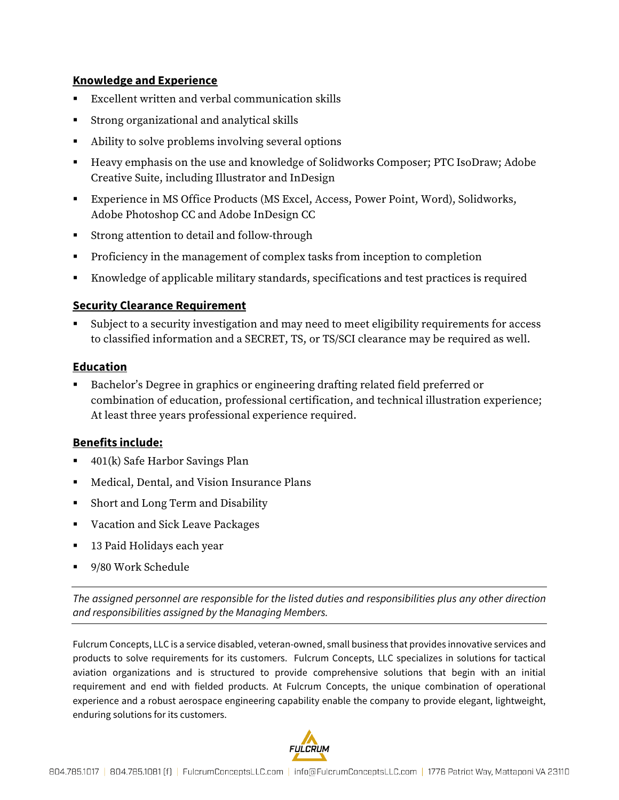# **Knowledge and Experience**

- Excellent written and verbal communication skills
- Strong organizational and analytical skills
- Ability to solve problems involving several options
- Heavy emphasis on the use and knowledge of Solidworks Composer; PTC IsoDraw; Adobe Creative Suite, including Illustrator and InDesign
- Experience in MS Office Products (MS Excel, Access, Power Point, Word), Solidworks, Adobe Photoshop CC and Adobe InDesign CC
- Strong attention to detail and follow-through
- **Proficiency in the management of complex tasks from inception to completion**
- Knowledge of applicable military standards, specifications and test practices is required

# **Security Clearance Requirement**

 Subject to a security investigation and may need to meet eligibility requirements for access to classified information and a SECRET, TS, or TS/SCI clearance may be required as well.

### **Education**

 Bachelor's Degree in graphics or engineering drafting related field preferred or combination of education, professional certification, and technical illustration experience; At least three years professional experience required.

### **Benefits include:**

- 401(k) Safe Harbor Savings Plan
- Medical, Dental, and Vision Insurance Plans
- Short and Long Term and Disability
- Vacation and Sick Leave Packages
- 13 Paid Holidays each year
- 9/80 Work Schedule

*The assigned personnel are responsible for the listed duties and responsibilities plus any other direction and responsibilities assigned by the Managing Members.*

Fulcrum Concepts, LLC is a service disabled, veteran-owned, small business that provides innovative services and products to solve requirements for its customers. Fulcrum Concepts, LLC specializes in solutions for tactical aviation organizations and is structured to provide comprehensive solutions that begin with an initial requirement and end with fielded products. At Fulcrum Concepts, the unique combination of operational experience and a robust aerospace engineering capability enable the company to provide elegant, lightweight, enduring solutions for its customers.